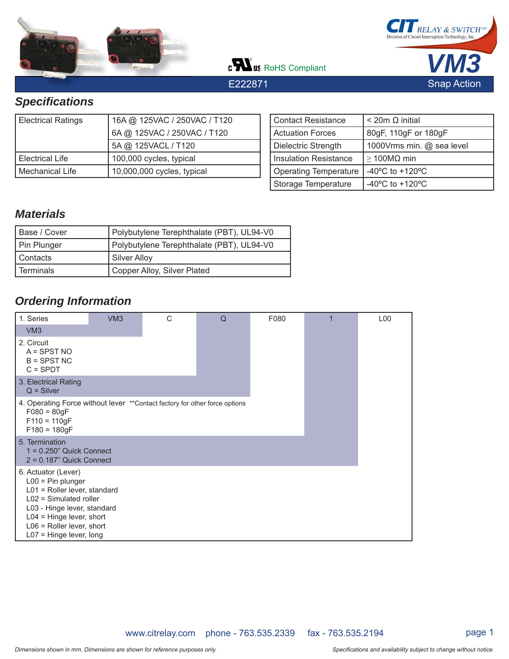

c**Wus** RoHS Compliant

E222871



# *Specifi cations*

| <b>Electrical Ratings</b> | 16A @ 125VAC / 250VAC / T120 |  |  |  |
|---------------------------|------------------------------|--|--|--|
|                           | 6A @ 125VAC / 250VAC / T120  |  |  |  |
|                           | 5A @ 125VACL / T120          |  |  |  |
| Electrical Life           | 100,000 cycles, typical      |  |  |  |
| Mechanical Life           | 10,000,000 cycles, typical   |  |  |  |

| <b>Contact Resistance</b>    | $<$ 20m $\Omega$ initial              |
|------------------------------|---------------------------------------|
| <b>Actuation Forces</b>      | 80gF, 110gF or 180gF                  |
| Dielectric Strength          | 1000Vrms min. @ sea level             |
| Insulation Resistance        | $\geq$ 100M $\Omega$ min              |
| <b>Operating Temperature</b> | -40 $^{\circ}$ C to +120 $^{\circ}$ C |
| Storage Temperature          | $-40^{\circ}$ C to $+120^{\circ}$ C   |

## *Materials*

| Base / Cover | Polybutylene Terephthalate (PBT), UL94-V0 |
|--------------|-------------------------------------------|
| Pin Plunger  | Polybutylene Terephthalate (PBT), UL94-V0 |
| Contacts     | Silver Alloy                              |
| Terminals    | Copper Alloy, Silver Plated               |

## *Ordering Information*

| 1. Series                                                                                                                                                                                                                         | VM3 | C | Q | F080 | L <sub>0</sub> 0 |
|-----------------------------------------------------------------------------------------------------------------------------------------------------------------------------------------------------------------------------------|-----|---|---|------|------------------|
| VM3                                                                                                                                                                                                                               |     |   |   |      |                  |
| 2. Circuit<br>$A =$ SPST NO<br>$B =$ SPST NC<br>$C = SPDT$                                                                                                                                                                        |     |   |   |      |                  |
| 3. Electrical Rating<br>$Q =$ Silver                                                                                                                                                                                              |     |   |   |      |                  |
| 4. Operating Force without lever ** Contact factory for other force options<br>$F080 = 80gF$<br>$F110 = 110qF$<br>$F180 = 180gF$                                                                                                  |     |   |   |      |                  |
| 5. Termination<br>$1 = 0.250$ " Quick Connect<br>$2 = 0.187$ " Quick Connect                                                                                                                                                      |     |   |   |      |                  |
| 6. Actuator (Lever)<br>$L00 = Pin$ plunger<br>$L01$ = Roller lever, standard<br>$L02$ = Simulated roller<br>L03 - Hinge lever, standard<br>$L04$ = Hinge lever, short<br>$L06$ = Roller lever, short<br>$L07$ = Hinge lever, long |     |   |   |      |                  |

www.citrelay.com phone - 763.535.2339 fax - 763.535.2194 page 1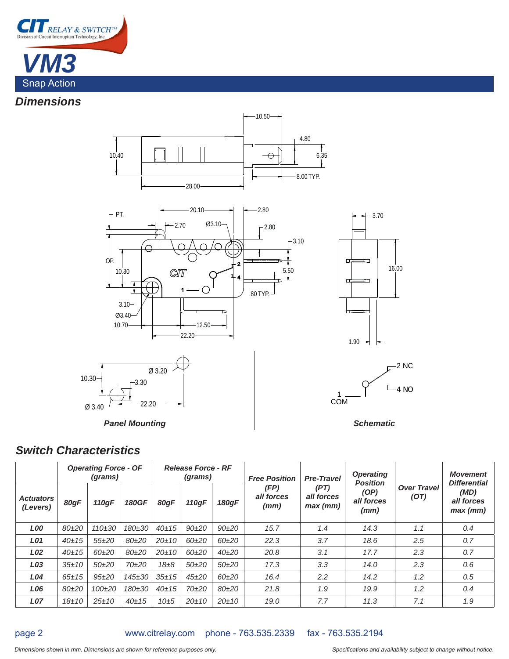

## *Dimensions*





### *Switch Characteristics*

|                              | <b>Operating Force - OF</b><br>(grams) |             |              | <b>Release Force - RF</b><br>(grams) |             |             | <b>Free Position</b>       | <b>Pre-Travel</b>                | <b>Operating</b><br><b>Position</b> |                            | <b>Movement</b><br><b>Differential</b> |
|------------------------------|----------------------------------------|-------------|--------------|--------------------------------------|-------------|-------------|----------------------------|----------------------------------|-------------------------------------|----------------------------|----------------------------------------|
| <b>Actuators</b><br>(Levers) | 80gF                                   | 110gF       | <b>180GF</b> | 80qF                                 | 110gF       | 180qF       | (FP)<br>all forces<br>(mm) | (PT)<br>all forces<br>$max$ (mm) | (OP)<br>all forces<br>(mm)          | <b>Over Travel</b><br>(OT) | (MD)<br>all forces<br>$max$ (mm)       |
| <b>LOO</b>                   | 80±20                                  | $110 + 30$  | 180±30       | 40±15                                | $90+20$     | $90+20$     | 15.7                       | 1.4                              | 14.3                                | 1.1                        | 0.4                                    |
| <b>LO1</b>                   | $40 + 15$                              | $55+20$     | 80±20        | $20 + 10$                            | 60±20       | 60±20       | 22.3                       | 3.7                              | 18.6                                | 2.5                        | 0.7                                    |
| L02                          | $40 + 15$                              | $60+20$     | 80±20        | $20 + 10$                            | 60±20       | $40 + 20$   | 20.8                       | 3.1                              | 17.7                                | 2.3                        | 0.7                                    |
| L03                          | $35 \pm 10$                            | $50+20$     | 70±20        | $18\pm8$                             | 50±20       | $50+20$     | 17.3                       | 3.3                              | 14.0                                | 2.3                        | 0.6                                    |
| <b>L04</b>                   | $65 \pm 15$                            | $95 + 20$   | 145±30       | $35 + 15$                            | $45 + 20$   | 60±20       | 16.4                       | $2.2\,$                          | 14.2                                | 1.2                        | 0.5                                    |
| <b>LO6</b>                   | 80±20                                  | 100±20      | 180±30       | $40 + 15$                            | 70±20       | 80±20       | 21.8                       | 1.9                              | 19.9                                | 1.2                        | 0.4                                    |
| <b>L07</b>                   | $18 + 10$                              | $25 \pm 10$ | $40 + 15$    | 10 <sub>±5</sub>                     | $20 \pm 10$ | $20 \pm 10$ | 19.0                       | 7.7                              | 11.3                                | 7.1                        | 1.9                                    |

page 2

### www.citrelay.com phone - 763.535.2339 fax - 763.535.2194

#### Dimensions shown in mm. Dimensions are shown for reference purposes only. This is a subjectional and availability subject to change without notice.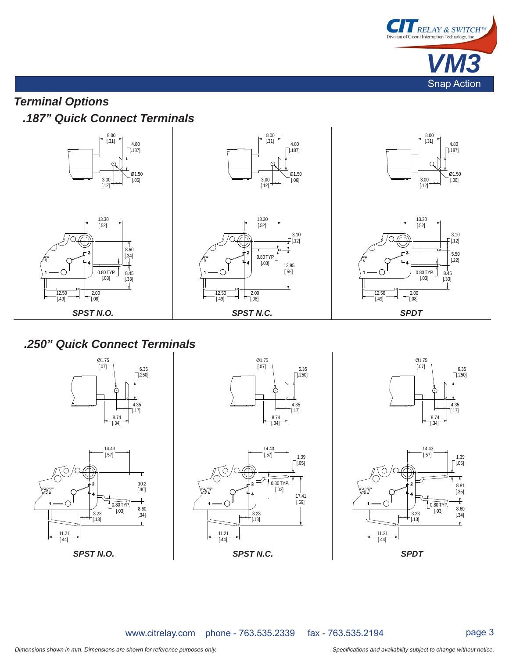

# *Terminal Options .187" Quick Connect Terminals*



## *.250" Quick Connect Terminals*













www.citrelay.com phone - 763.535.2339 fax - 763.535.2194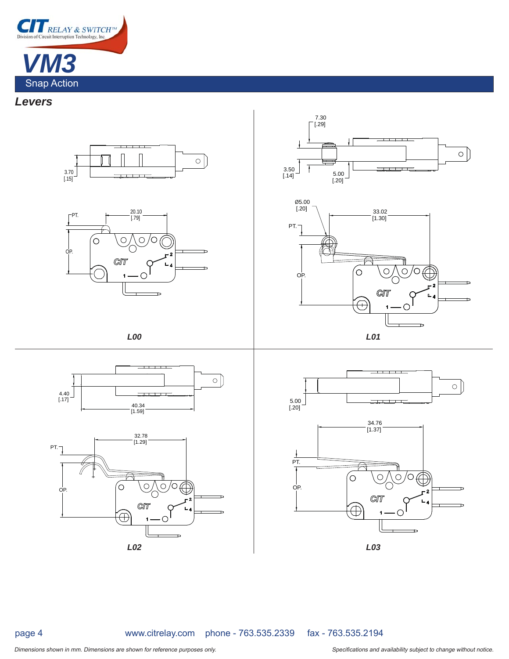

### *Levers*

















page 4

www.citrelay.com phone - 763.535.2339 fax - 763.535.2194